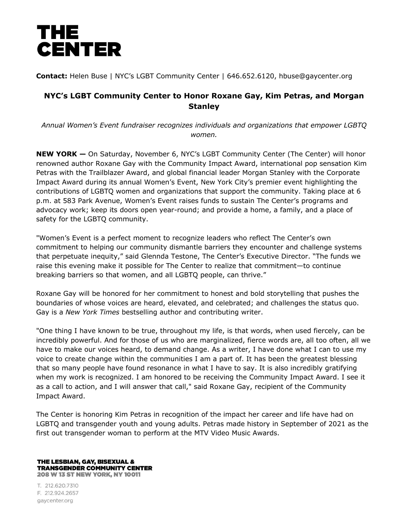

**Contact:** Helen Buse | NYC's LGBT Community Center | 646.652.6120, hbuse@gaycenter.org

## **NYC's LGBT Community Center to Honor Roxane Gay, Kim Petras, and Morgan Stanley**

*Annual Women's Event fundraiser recognizes individuals and organizations that empower LGBTQ women.*

**NEW YORK —** On Saturday, November 6, NYC's LGBT Community Center (The Center) will honor renowned author Roxane Gay with the Community Impact Award, international pop sensation Kim Petras with the Trailblazer Award, and global financial leader Morgan Stanley with the Corporate Impact Award during its annual Women's Event, New York City's premier event highlighting the contributions of LGBTQ women and organizations that support the community. Taking place at 6 p.m. at 583 Park Avenue, Women's Event raises funds to sustain The Center's programs and advocacy work; keep its doors open year-round; and provide a home, a family, and a place of safety for the LGBTQ community.

"Women's Event is a perfect moment to recognize leaders who reflect The Center's own commitment to helping our community dismantle barriers they encounter and challenge systems that perpetuate inequity," said Glennda Testone, The Center's Executive Director. "The funds we raise this evening make it possible for The Center to realize that commitment—to continue breaking barriers so that women, and all LGBTQ people, can thrive."

Roxane Gay will be honored for her commitment to honest and bold storytelling that pushes the boundaries of whose voices are heard, elevated, and celebrated; and challenges the status quo. Gay is a *New York Times* bestselling author and contributing writer.

"One thing I have known to be true, throughout my life, is that words, when used fiercely, can be incredibly powerful. And for those of us who are marginalized, fierce words are, all too often, all we have to make our voices heard, to demand change. As a writer, I have done what I can to use my voice to create change within the communities I am a part of. It has been the greatest blessing that so many people have found resonance in what I have to say. It is also incredibly gratifying when my work is recognized. I am honored to be receiving the Community Impact Award. I see it as a call to action, and I will answer that call," said Roxane Gay, recipient of the Community Impact Award.

The Center is honoring Kim Petras in recognition of the impact her career and life have had on LGBTQ and transgender youth and young adults. Petras made history in September of 2021 as the first out transgender woman to perform at the MTV Video Music Awards.

## THE LESBIAN, GAY, BISEXUAL & **TRANSGENDER COMMUNITY CENTER 208 W 13 ST NEW YORK, NY 10011**

T. 212.620.7310 F. 212.924.2657 gaycenter.org